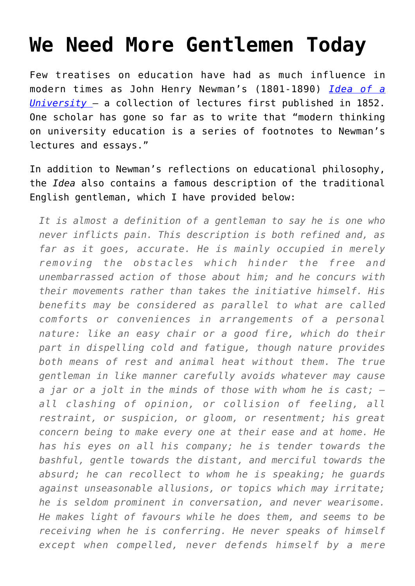## **[We Need More Gentlemen Today](https://intellectualtakeout.org/2015/08/we-need-more-gentlemen-today/)**

Few treatises on education have had as much influence in modern times as John Henry Newman's (1801-1890) *[Idea of a](http://www.newmanreader.org/works/idea/) [University](http://www.newmanreader.org/works/idea/)* – a collection of lectures first published in 1852. One scholar has gone so far as to write that "modern thinking on university education is a series of footnotes to Newman's lectures and essays."

In addition to Newman's reflections on educational philosophy, the *Idea* also contains a famous description of the traditional English gentleman, which I have provided below:

*It is almost a definition of a gentleman to say he is one who never inflicts pain. This description is both refined and, as far as it goes, accurate. He is mainly occupied in merely removing the obstacles which hinder the free and unembarrassed action of those about him; and he concurs with their movements rather than takes the initiative himself. His benefits may be considered as parallel to what are called comforts or conveniences in arrangements of a personal nature: like an easy chair or a good fire, which do their part in dispelling cold and fatigue, though nature provides both means of rest and animal heat without them. The true gentleman in like manner carefully avoids whatever may cause a jar or a jolt in the minds of those with whom he is cast; all clashing of opinion, or collision of feeling, all restraint, or suspicion, or gloom, or resentment; his great concern being to make every one at their ease and at home. He has his eyes on all his company; he is tender towards the bashful, gentle towards the distant, and merciful towards the absurd; he can recollect to whom he is speaking; he guards against unseasonable allusions, or topics which may irritate; he is seldom prominent in conversation, and never wearisome. He makes light of favours while he does them, and seems to be receiving when he is conferring. He never speaks of himself except when compelled, never defends himself by a mere*